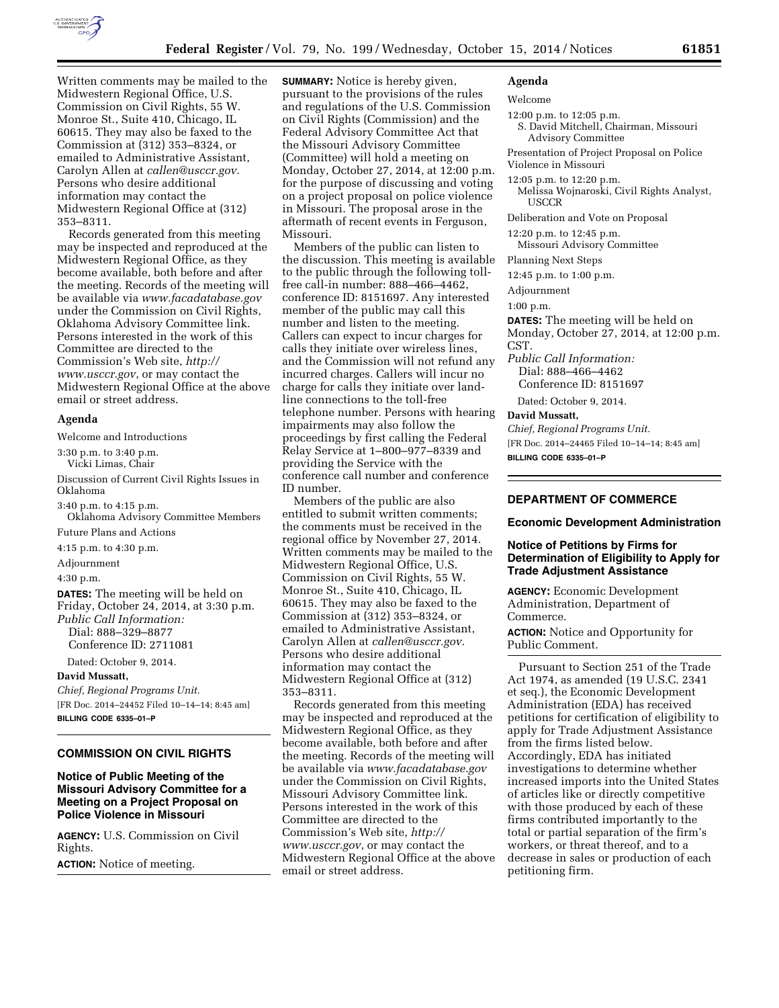

Written comments may be mailed to the Midwestern Regional Office, U.S. Commission on Civil Rights, 55 W. Monroe St., Suite 410, Chicago, IL 60615. They may also be faxed to the Commission at (312) 353–8324, or emailed to Administrative Assistant, Carolyn Allen at *[callen@usccr.gov.](mailto:callen@usccr.gov)*  Persons who desire additional information may contact the Midwestern Regional Office at (312) 353–8311.

Records generated from this meeting may be inspected and reproduced at the Midwestern Regional Office, as they become available, both before and after the meeting. Records of the meeting will be available via *[www.facadatabase.gov](http://www.facadatabase.gov)*  under the Commission on Civil Rights, Oklahoma Advisory Committee link. Persons interested in the work of this Committee are directed to the Commission's Web site, *[http://](http://www.usccr.gov) [www.usccr.gov](http://www.usccr.gov)*, or may contact the Midwestern Regional Office at the above email or street address.

# **Agenda**

Welcome and Introductions

3:30 p.m. to 3:40 p.m. Vicki Limas, Chair

Discussion of Current Civil Rights Issues in Oklahoma

3:40 p.m. to 4:15 p.m. Oklahoma Advisory Committee Members

Future Plans and Actions

4:15 p.m. to 4:30 p.m.

Adjournment

4:30 p.m.

**DATES:** The meeting will be held on Friday, October 24, 2014, at 3:30 p.m. *Public Call Information:* 

Dial: 888–329–8877

Conference ID: 2711081

Dated: October 9, 2014.

### **David Mussatt,**

*Chief, Regional Programs Unit.*  [FR Doc. 2014–24452 Filed 10–14–14; 8:45 am] **BILLING CODE 6335–01–P** 

# **COMMISSION ON CIVIL RIGHTS**

# **Notice of Public Meeting of the Missouri Advisory Committee for a Meeting on a Project Proposal on Police Violence in Missouri**

**AGENCY:** U.S. Commission on Civil Rights.

**ACTION:** Notice of meeting.

**SUMMARY:** Notice is hereby given, pursuant to the provisions of the rules and regulations of the U.S. Commission on Civil Rights (Commission) and the Federal Advisory Committee Act that the Missouri Advisory Committee (Committee) will hold a meeting on Monday, October 27, 2014, at 12:00 p.m. for the purpose of discussing and voting on a project proposal on police violence in Missouri. The proposal arose in the aftermath of recent events in Ferguson, Missouri.

Members of the public can listen to the discussion. This meeting is available to the public through the following tollfree call-in number: 888–466–4462, conference ID: 8151697. Any interested member of the public may call this number and listen to the meeting. Callers can expect to incur charges for calls they initiate over wireless lines, and the Commission will not refund any incurred charges. Callers will incur no charge for calls they initiate over landline connections to the toll-free telephone number. Persons with hearing impairments may also follow the proceedings by first calling the Federal Relay Service at 1–800–977–8339 and providing the Service with the conference call number and conference ID number.

Members of the public are also entitled to submit written comments; the comments must be received in the regional office by November 27, 2014. Written comments may be mailed to the Midwestern Regional Office, U.S. Commission on Civil Rights, 55 W. Monroe St., Suite 410, Chicago, IL 60615. They may also be faxed to the Commission at (312) 353–8324, or emailed to Administrative Assistant, Carolyn Allen at *[callen@usccr.gov.](mailto:callen@usccr.gov)*  Persons who desire additional information may contact the Midwestern Regional Office at (312) 353–8311.

Records generated from this meeting may be inspected and reproduced at the Midwestern Regional Office, as they become available, both before and after the meeting. Records of the meeting will be available via *[www.facadatabase.gov](http://www.facadatabase.gov)*  under the Commission on Civil Rights, Missouri Advisory Committee link. Persons interested in the work of this Committee are directed to the Commission's Web site, *[http://](http://www.usccr.gov) [www.usccr.gov](http://www.usccr.gov)*, or may contact the Midwestern Regional Office at the above email or street address.

#### **Agenda**

# Welcome

12:00 p.m. to 12:05 p.m.

S. David Mitchell, Chairman, Missouri Advisory Committee

Presentation of Project Proposal on Police Violence in Missouri

12:05 p.m. to 12:20 p.m.

Melissa Wojnaroski, Civil Rights Analyst, **USCCR** 

Deliberation and Vote on Proposal

12:20 p.m. to 12:45 p.m.

Missouri Advisory Committee

Planning Next Steps

12:45 p.m. to 1:00 p.m.

Adjournment

1:00 p.m.

**DATES:** The meeting will be held on Monday, October 27, 2014, at 12:00 p.m. CST.

*Public Call Information:*  Dial: 888–466–4462 Conference ID: 8151697

Dated: October 9, 2014.

**David Mussatt,** 

*Chief, Regional Programs Unit.*  [FR Doc. 2014–24465 Filed 10–14–14; 8:45 am] **BILLING CODE 6335–01–P** 

# **DEPARTMENT OF COMMERCE**

**Economic Development Administration** 

## **Notice of Petitions by Firms for Determination of Eligibility to Apply for Trade Adjustment Assistance**

**AGENCY:** Economic Development Administration, Department of Commerce.

**ACTION:** Notice and Opportunity for Public Comment.

Pursuant to Section 251 of the Trade Act 1974, as amended (19 U.S.C. 2341 et seq.), the Economic Development Administration (EDA) has received petitions for certification of eligibility to apply for Trade Adjustment Assistance from the firms listed below. Accordingly, EDA has initiated investigations to determine whether increased imports into the United States of articles like or directly competitive with those produced by each of these firms contributed importantly to the total or partial separation of the firm's workers, or threat thereof, and to a decrease in sales or production of each petitioning firm.